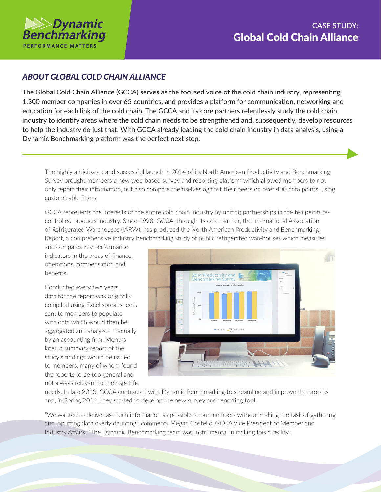

## *ABOUT GLOBAL COLD CHAIN ALLIANCE*

The Global Cold Chain Alliance (GCCA) serves as the focused voice of the cold chain industry, representing 1,300 member companies in over 65 countries, and provides a platform for communication, networking and education for each link of the cold chain. The GCCA and its core partners relentlessly study the cold chain industry to identify areas where the cold chain needs to be strengthened and, subsequently, develop resources to help the industry do just that. With GCCA already leading the cold chain industry in data analysis, using a Dynamic Benchmarking platform was the perfect next step.

The highly anticipated and successful launch in 2014 of its North American Productivity and Benchmarking Survey brought members a new web-based survey and reporting platform which allowed members to not only report their information, but also compare themselves against their peers on over 400 data points, using customizable filters.

GCCA represents the interests of the entire cold chain industry by uniting partnerships in the temperaturecontrolled products industry. Since 1998, GCCA, through its core partner, the International Association of Refrigerated Warehouses (IARW), has produced the North American Productivity and Benchmarking Report, a comprehensive industry benchmarking study of public refrigerated warehouses which measures

and compares key performance indicators in the areas of finance, operations, compensation and benefits.

Conducted every two years, data for the report was originally compiled using Excel spreadsheets sent to members to populate with data which would then be aggregated and analyzed manually by an accounting firm. Months later, a summary report of the study's findings would be issued to members, many of whom found the reports to be too general and not always relevant to their specific



needs. In late 2013, GCCA contracted with Dynamic Benchmarking to streamline and improve the process and, in Spring 2014, they started to develop the new survey and reporting tool.

"We wanted to deliver as much information as possible to our members without making the task of gathering and inputting data overly daunting," comments Megan Costello, GCCA Vice President of Member and Industry Affairs. "The Dynamic Benchmarking team was instrumental in making this a reality."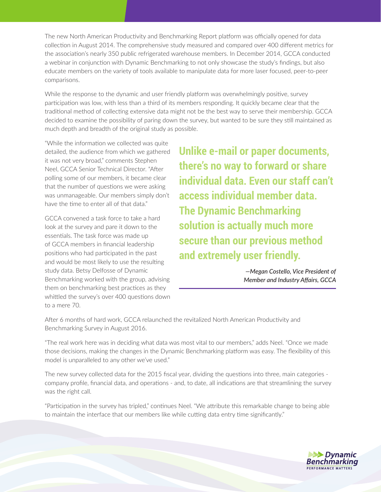The new North American Productivity and Benchmarking Report platform was officially opened for data collection in August 2014. The comprehensive study measured and compared over 400 different metrics for the association's nearly 350 public refrigerated warehouse members. In December 2014, GCCA conducted a webinar in conjunction with Dynamic Benchmarking to not only showcase the study's findings, but also educate members on the variety of tools available to manipulate data for more laser focused, peer-to-peer comparisons.

While the response to the dynamic and user friendly platform was overwhelmingly positive, survey participation was low, with less than a third of its members responding. It quickly became clear that the traditional method of collecting extensive data might not be the best way to serve their membership. GCCA decided to examine the possibility of paring down the survey, but wanted to be sure they still maintained as much depth and breadth of the original study as possible.

"While the information we collected was quite detailed, the audience from which we gathered it was not very broad," comments Stephen Neel, GCCA Senior Technical Director. "After polling some of our members, it became clear that the number of questions we were asking was unmanageable. Our members simply don't have the time to enter all of that data."

GCCA convened a task force to take a hard look at the survey and pare it down to the essentials. The task force was made up of GCCA members in financial leadership positions who had participated in the past and would be most likely to use the resulting study data. Betsy Delfosse of Dynamic Benchmarking worked with the group, advising them on benchmarking best practices as they whittled the survey's over 400 questions down to a mere 70.

**Unlike e-mail or paper documents, there's no way to forward or share individual data. Even our staff can't access individual member data. The Dynamic Benchmarking solution is actually much more secure than our previous method and extremely user friendly.**

> *—Megan Costello, Vice President of Member and Industry Affairs, GCCA*

After 6 months of hard work, GCCA relaunched the revitalized North American Productivity and Benchmarking Survey in August 2016.

"The real work here was in deciding what data was most vital to our members," adds Neel. "Once we made those decisions, making the changes in the Dynamic Benchmarking platform was easy. The flexibility of this model is unparalleled to any other we've used."

The new survey collected data for the 2015 fiscal year, dividing the questions into three, main categories company profile, financial data, and operations - and, to date, all indications are that streamlining the survey was the right call.

"Participation in the survey has tripled," continues Neel. "We attribute this remarkable change to being able to maintain the interface that our members like while cutting data entry time significantly."